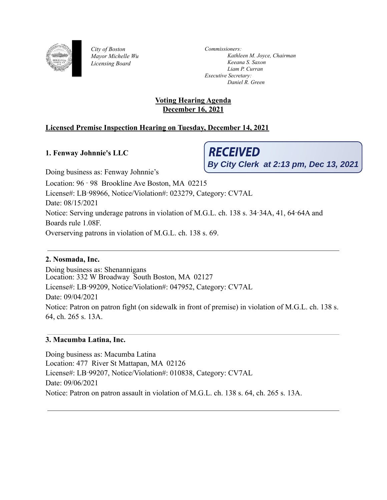

*City of Boston Mayor Michelle Wu Licensing Board*

*Commissioners: Kathleen M. Joyce, Chairman Keeana S. Saxon Liam P. Curran Executive Secretary: Daniel R. Green*

# **Voting Hearing Agenda December 16, 2021**

# **Licensed Premise Inspection Hearing on Tuesday, December 14, 2021**

# **1. Fenway Johnnie's LLC**

**RECEIVED By City Clerk at 2:13 pm, Dec 13, 2021**

Doing business as: Fenway Johnnie's Location: 96 ‑ 98 Brookline Ave Boston, MA 02215 License#: LB‑98966, Notice/Violation#: 023279, Category: CV7AL Date: 08/15/2021 Notice: Serving underage patrons in violation of M.G.L. ch. 138 s. 34‑34A, 41, 64‑64A and Boards rule 1.08F. Overserving patrons in violation of M.G.L. ch. 138 s. 69.

# **2. Nosmada, Inc.**

Doing business as: Shenannigans Location: 332 W Broadway South Boston, MA 02127 License#: LB‑99209, Notice/Violation#: 047952, Category: CV7AL Date: 09/04/2021 Notice: Patron on patron fight (on sidewalk in front of premise) in violation of M.G.L. ch. 138 s. 64, ch. 265 s. 13A.

# **3. Macumba Latina, Inc.**

Doing business as: Macumba Latina Location: 477 River St Mattapan, MA 02126 License#: LB‑99207, Notice/Violation#: 010838, Category: CV7AL Date: 09/06/2021 Notice: Patron on patron assault in violation of M.G.L. ch. 138 s. 64, ch. 265 s. 13A.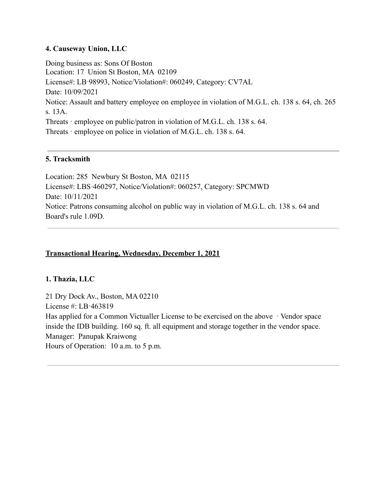# **4. Causeway Union, LLC**

Doing business as: Sons Of Boston Location: 17 Union St Boston, MA 02109 License#: LB‑98993, Notice/Violation#: 060249, Category: CV7AL Date: 10/09/2021 Notice: Assault and battery employee on employee in violation of M.G.L. ch. 138 s. 64, ch. 265 s. 13A. Threats ‑ employee on public/patron in violation of M.G.L. ch. 138 s. 64. Threats ‑ employee on police in violation of M.G.L. ch. 138 s. 64.

# **5. Tracksmith**

Location: 285 Newbury St Boston, MA 02115 License#: LBS‑460297, Notice/Violation#: 060257, Category: SPCMWD Date: 10/11/2021 Notice: Patrons consuming alcohol on public way in violation of M.G.L. ch. 138 s. 64 and Board's rule 1.09D.

# **Transactional Hearing, Wednesday, December 1, 2021**

#### **1. Thazia, LLC**

21 Dry Dock Av., Boston, MA 02210 License #: LB‑463819 Has applied for a Common Victualler License to be exercised on the above ‑ Vendor space inside the IDB building. 160 sq. ft. all equipment and storage together in the vendor space. Manager: Panupak Kraiwong Hours of Operation: 10 a.m. to 5 p.m.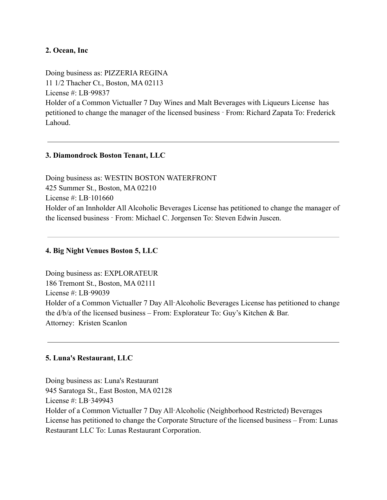# **2. Ocean, Inc**

Doing business as: PIZZERIA REGINA 11 1/2 Thacher Ct., Boston, MA 02113 License #: LB‑99837 Holder of a Common Victualler 7 Day Wines and Malt Beverages with Liqueurs License has petitioned to change the manager of the licensed business ‑ From: Richard Zapata To: Frederick Lahoud.

# **3. Diamondrock Boston Tenant, LLC**

Doing business as: WESTIN BOSTON WATERFRONT 425 Summer St., Boston, MA 02210 License #: LB‑101660 Holder of an Innholder All Alcoholic Beverages License has petitioned to change the manager of the licensed business ‑ From: Michael C. Jorgensen To: Steven Edwin Juscen.

## **4. Big Night Venues Boston 5, LLC**

Doing business as: EXPLORATEUR 186 Tremont St., Boston, MA 02111 License  $\#$  LB-99039 Holder of a Common Victualler 7 Day All‑Alcoholic Beverages License has petitioned to change the d/b/a of the licensed business – From: Explorateur To: Guy's Kitchen & Bar. Attorney: Kristen Scanlon

# **5. Luna's Restaurant, LLC**

Doing business as: Luna's Restaurant 945 Saratoga St., East Boston, MA 02128 License # LB-349943 Holder of a Common Victualler 7 Day All‑Alcoholic (Neighborhood Restricted) Beverages License has petitioned to change the Corporate Structure of the licensed business – From: Lunas Restaurant LLC To: Lunas Restaurant Corporation.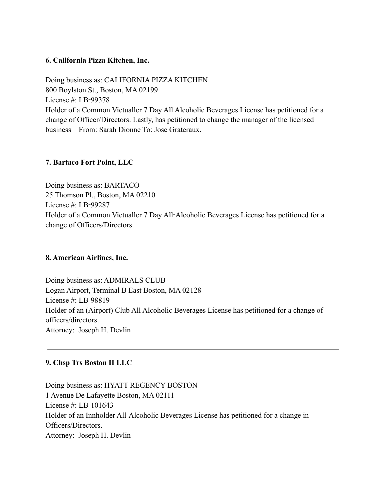#### **6. California Pizza Kitchen, Inc.**

Doing business as: CALIFORNIA PIZZA KITCHEN 800 Boylston St., Boston, MA 02199 License #: LB‑99378 Holder of a Common Victualler 7 Day All Alcoholic Beverages License has petitioned for a change of Officer/Directors. Lastly, has petitioned to change the manager of the licensed business – From: Sarah Dionne To: Jose Grateraux.

#### **7. Bartaco Fort Point, LLC**

Doing business as: BARTACO 25 Thomson Pl., Boston, MA 02210 License #: LB‑99287 Holder of a Common Victualler 7 Day All‑Alcoholic Beverages License has petitioned for a change of Officers/Directors.

## **8. American Airlines, Inc.**

Doing business as: ADMIRALS CLUB Logan Airport, Terminal B East Boston, MA 02128 License #: LB‑98819 Holder of an (Airport) Club All Alcoholic Beverages License has petitioned for a change of officers/directors. Attorney: Joseph H. Devlin

#### **9. Chsp Trs Boston II LLC**

Doing business as: HYATT REGENCY BOSTON 1 Avenue De Lafayette Boston, MA 02111 License #: LB‑101643 Holder of an Innholder All‑Alcoholic Beverages License has petitioned for a change in Officers/Directors. Attorney: Joseph H. Devlin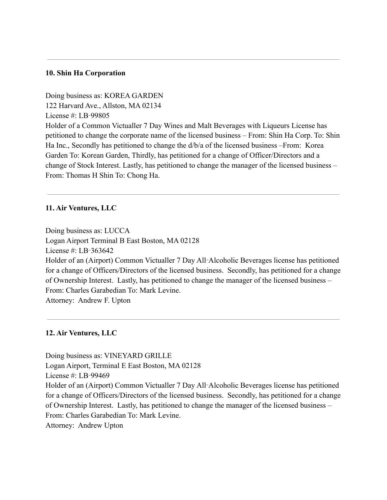#### **10. Shin Ha Corporation**

Doing business as: KOREA GARDEN 122 Harvard Ave., Allston, MA 02134 License #: LB‑99805 Holder of a Common Victualler 7 Day Wines and Malt Beverages with Liqueurs License has petitioned to change the corporate name of the licensed business – From: Shin Ha Corp. To: Shin Ha Inc., Secondly has petitioned to change the d/b/a of the licensed business –From: Korea Garden To: Korean Garden, Thirdly, has petitioned for a change of Officer/Directors and a change of Stock Interest. Lastly, has petitioned to change the manager of the licensed business – From: Thomas H Shin To: Chong Ha.

#### **11. Air Ventures, LLC**

Doing business as: LUCCA Logan Airport Terminal B East Boston, MA 02128 License #: LB‑363642 Holder of an (Airport) Common Victualler 7 Day All‑Alcoholic Beverages license has petitioned for a change of Officers/Directors of the licensed business. Secondly, has petitioned for a change of Ownership Interest. Lastly, has petitioned to change the manager of the licensed business – From: Charles Garabedian To: Mark Levine. Attorney: Andrew F. Upton

#### **12. Air Ventures, LLC**

Doing business as: VINEYARD GRILLE Logan Airport, Terminal E East Boston, MA 02128 License #: LB‑99469 Holder of an (Airport) Common Victualler 7 Day All‑Alcoholic Beverages license has petitioned for a change of Officers/Directors of the licensed business. Secondly, has petitioned for a change of Ownership Interest. Lastly, has petitioned to change the manager of the licensed business – From: Charles Garabedian To: Mark Levine. Attorney: Andrew Upton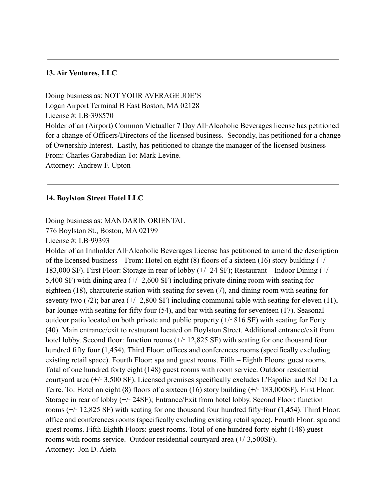## **13. Air Ventures, LLC**

Doing business as: NOT YOUR AVERAGE JOE'S Logan Airport Terminal B East Boston, MA 02128 License #: LB‑398570 Holder of an (Airport) Common Victualler 7 Day All‑Alcoholic Beverages license has petitioned for a change of Officers/Directors of the licensed business. Secondly, has petitioned for a change of Ownership Interest. Lastly, has petitioned to change the manager of the licensed business – From: Charles Garabedian To: Mark Levine. Attorney: Andrew F. Upton

#### **14. Boylston Street Hotel LLC**

Doing business as: MANDARIN ORIENTAL

776 Boylston St., Boston, MA 02199

License #: LB‑99393

Holder of an Innholder All‑Alcoholic Beverages License has petitioned to amend the description of the licensed business – From: Hotel on eight (8) floors of a sixteen (16) story building  $(+/-$ 183,000 SF). First Floor: Storage in rear of lobby (+/‑ 24 SF); Restaurant – Indoor Dining (+/‑ 5,400 SF) with dining area  $(+/- 2,600$  SF) including private dining room with seating for eighteen (18), charcuterie station with seating for seven (7), and dining room with seating for seventy two (72); bar area ( $+/- 2,800$  SF) including communal table with seating for eleven (11), bar lounge with seating for fifty four (54), and bar with seating for seventeen (17). Seasonal outdoor patio located on both private and public property  $(+/- 816 SF)$  with seating for Forty (40). Main entrance/exit to restaurant located on Boylston Street. Additional entrance/exit from hotel lobby. Second floor: function rooms  $(+/- 12,825 SF)$  with seating for one thousand four hundred fifty four (1,454). Third Floor: offices and conferences rooms (specifically excluding existing retail space). Fourth Floor: spa and guest rooms. Fifth – Eighth Floors: guest rooms. Total of one hundred forty eight (148) guest rooms with room service. Outdoor residential courtyard area (+/‑ 3,500 SF). Licensed premises specifically excludes L'Espalier and Sel De La Terre. To: Hotel on eight (8) floors of a sixteen (16) story building (+/‑ 183,000SF), First Floor: Storage in rear of lobby (+/‑ 24SF); Entrance/Exit from hotel lobby. Second Floor: function rooms  $(+)$  12,825 SF) with seating for one thousand four hundred fifty-four (1,454). Third Floor: office and conferences rooms (specifically excluding existing retail space). Fourth Floor: spa and guest rooms. Fifth‑Eighth Floors: guest rooms. Total of one hundred forty‑eight (148) guest rooms with rooms service. Outdoor residential courtyard area (+/‑3,500SF). Attorney: Jon D. Aieta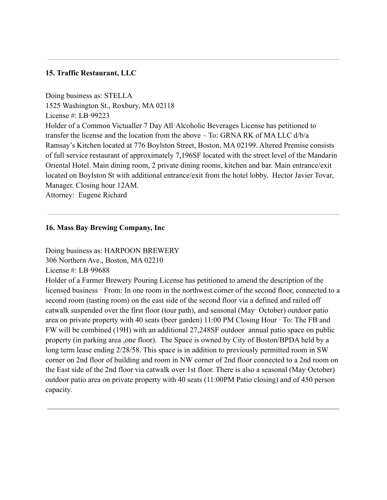# **15. Traffic Restaurant, LLC**

Doing business as: STELLA 1525 Washington St., Roxbury, MA 02118 License #: LB‑99223 Holder of a Common Victualler 7 Day All‑Alcoholic Beverages License has petitioned to transfer the license and the location from the above – To: GRNA RK of MA LLC d/b/a Ramsay's Kitchen located at 776 Boylston Street, Boston, MA 02199. Altered Premise consists of full‑service restaurant of approximately 7,196SF located with the street level of the Mandarin Oriental Hotel. Main dining room, 2 private dining rooms, kitchen and bar. Main entrance/exit located on Boylston St with additional entrance/exit from the hotel lobby. Hector Javier Tovar, Manager. Closing hour 12AM.

Attorney: Eugene Richard

#### **16. Mass Bay Brewing Company, Inc**

Doing business as: HARPOON BREWERY 306 Northern Ave., Boston, MA 02210 License #: LB‑99688 Holder of a Farmer Brewery Pouring License has petitioned to amend the description of the licensed business ‑ From: In one room in the northwest corner of the second floor, connected to a second room (tasting room) on the east side of the second floor via a defined and railed off catwalk suspended over the first floor (tour path), and seasonal (May‑ October) outdoor patio area on private property with 40 seats (beer garden) 11:00 PM Closing Hour ‑ To: The FB and FW will be combined (19H) with an additional 27,248SF outdoor annual patio space on public property (in parking area ,one floor). The Space is owned by City of Boston/BPDA held by a long term lease ending 2/28/58. This space is in addition to previously permitted room in SW corner on 2nd floor of building and room in NW corner of 2nd floor connected to a 2nd room on the East side of the 2nd floor via catwalk over 1st floor. There is also a seasonal (May‑October) outdoor patio area on private property with 40 seats (11:00PM Patio closing) and of 450 person capacity.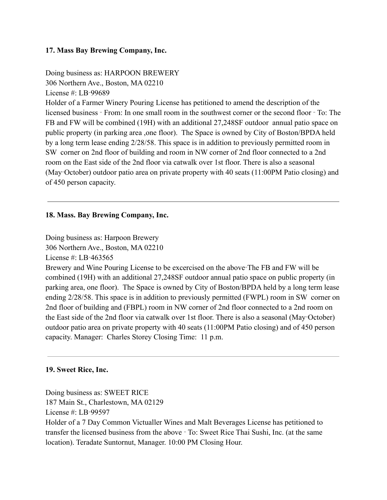# **17. Mass Bay Brewing Company, Inc.**

Doing business as: HARPOON BREWERY 306 Northern Ave., Boston, MA 02210 License #: LB‑99689 Holder of a Farmer Winery Pouring License has petitioned to amend the description of the licensed business ‑ From: In one small room in the southwest corner or the second floor ‑ To: The FB and FW will be combined (19H) with an additional 27,248SF outdoor annual patio space on public property (in parking area ,one floor). The Space is owned by City of Boston/BPDA held by a long term lease ending 2/28/58. This space is in addition to previously permitted room in SW corner on 2nd floor of building and room in NW corner of 2nd floor connected to a 2nd room on the East side of the 2nd floor via catwalk over 1st floor. There is also a seasonal (May‑October) outdoor patio area on private property with 40 seats (11:00PM Patio closing) and of 450 person capacity.

# **18. Mass. Bay Brewing Company, Inc.**

Doing business as: Harpoon Brewery 306 Northern Ave., Boston, MA 02210 License #: LB‑463565

Brewery and Wine Pouring License to be excercised on the above-The FB and FW will be combined (19H) with an additional 27,248SF outdoor annual patio space on public property (in parking area, one floor). The Space is owned by City of Boston/BPDA held by a long term lease ending 2/28/58. This space is in addition to previously permitted (FWPL) room in SW corner on 2nd floor of building and (FBPL) room in NW corner of 2nd floor connected to a 2nd room on the East side of the 2nd floor via catwalk over 1st floor. There is also a seasonal (May‑October) outdoor patio area on private property with 40 seats (11:00PM Patio closing) and of 450 person capacity. Manager: Charles Storey Closing Time: 11 p.m.

#### **19. Sweet Rice, Inc.**

Doing business as: SWEET RICE 187 Main St., Charlestown, MA 02129 License #: LB‑99597 Holder of a 7 Day Common Victualler Wines and Malt Beverages License has petitioned to transfer the licensed business from the above ‑ To: Sweet Rice Thai Sushi, Inc. (at the same location). Teradate Suntornut, Manager. 10:00 PM Closing Hour.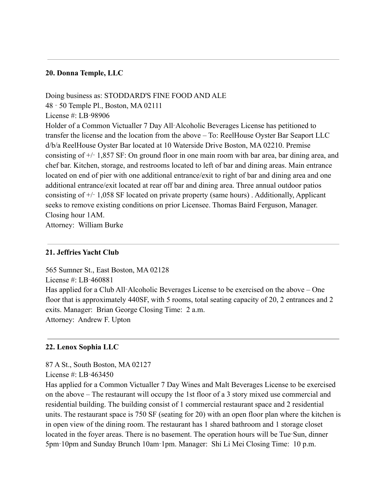# **20. Donna Temple, LLC**

Doing business as: STODDARD'S FINE FOOD AND ALE 48 ‑ 50 Temple Pl., Boston, MA 02111 License #: LB‑98906 Holder of a Common Victualler 7 Day All‑Alcoholic Beverages License has petitioned to transfer the license and the location from the above – To: ReelHouse Oyster Bar Seaport LLC d/b/a ReelHouse Oyster Bar located at 10 Waterside Drive Boston, MA 02210. Premise consisting of  $+/- 1,857$  SF: On ground floor in one main room with bar area, bar dining area, and chef bar. Kitchen, storage, and restrooms located to left of bar and dining areas. Main entrance located on end of pier with one additional entrance/exit to right of bar and dining area and one additional entrance/exit located at rear off bar and dining area. Three annual outdoor patios consisting of +/‑ 1,058 SF located on private property (same hours) . Additionally, Applicant seeks to remove existing conditions on prior Licensee. Thomas Baird Ferguson, Manager. Closing hour 1AM.

Attorney: William Burke

## **21. Jeffries Yacht Club**

565 Sumner St., East Boston, MA 02128 License #: LB‑460881 Has applied for a Club All-Alcoholic Beverages License to be exercised on the above – One floor that is approximately 440SF, with 5 rooms, total seating capacity of 20, 2 entrances and 2 exits. Manager: Brian George Closing Time: 2 a.m. Attorney: Andrew F. Upton

# **22. Lenox Sophia LLC**

#### 87 A St., South Boston, MA 02127

License #: LB-463450

Has applied for a Common Victualler 7 Day Wines and Malt Beverages License to be exercised on the above – The restaurant will occupy the 1st floor of a 3 story mixed use commercial and residential building. The building consist of 1 commercial restaurant space and 2 residential units. The restaurant space is 750 SF (seating for 20) with an open floor plan where the kitchen is in open view of the dining room. The restaurant has 1 shared bathroom and 1 storage closet located in the foyer areas. There is no basement. The operation hours will be Tue-Sun, dinner 5pm‑10pm and Sunday Brunch 10am‑1pm. Manager: Shi Li Mei Closing Time: 10 p.m.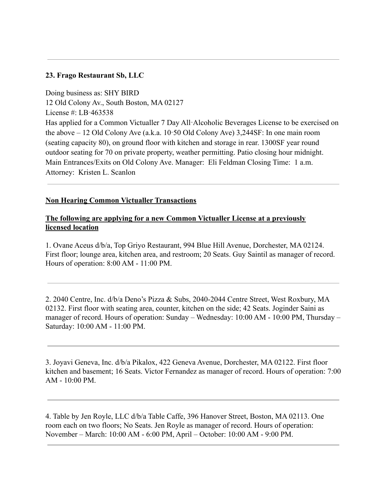# **23. Frago Restaurant Sb, LLC**

Doing business as: SHY BIRD 12 Old Colony Av., South Boston, MA 02127 License #: LB‑463538 Has applied for a Common Victualler 7 Day All-Alcoholic Beverages License to be exercised on the above – 12 Old Colony Ave (a.k.a. 10‑50 Old Colony Ave) 3,244SF: In one main room (seating capacity 80), on ground floor with kitchen and storage in rear. 1300SF year round outdoor seating for 70 on private property, weather permitting. Patio closing hour midnight. Main Entrances/Exits on Old Colony Ave. Manager: Eli Feldman Closing Time: 1 a.m. Attorney: Kristen L. Scanlon

# **Non Hearing Common Victualler Transactions**

# **The following are applying for a new Common Victualler License at a previously licensed location**

1. Ovane Aceus d/b/a, Top Griyo Restaurant, 994 Blue Hill Avenue, Dorchester, MA 02124. First floor; lounge area, kitchen area, and restroom; 20 Seats. Guy Saintil as manager of record. Hours of operation: 8:00 AM - 11:00 PM.

2. 2040 Centre, Inc. d/b/a Deno's Pizza & Subs, 2040-2044 Centre Street, West Roxbury, MA 02132. First floor with seating area, counter, kitchen on the side; 42 Seats. Joginder Saini as manager of record. Hours of operation: Sunday – Wednesday: 10:00 AM - 10:00 PM, Thursday – Saturday: 10:00 AM - 11:00 PM.

3. Joyavi Geneva, Inc. d/b/a Pikalox, 422 Geneva Avenue, Dorchester, MA 02122. First floor kitchen and basement; 16 Seats. Victor Fernandez as manager of record. Hours of operation: 7:00  $AM - 10:00 PM$ 

4. Table by Jen Royle, LLC d/b/a Table Caffe, 396 Hanover Street, Boston, MA 02113. One room each on two floors; No Seats. Jen Royle as manager of record. Hours of operation: November – March: 10:00 AM - 6:00 PM, April – October: 10:00 AM - 9:00 PM.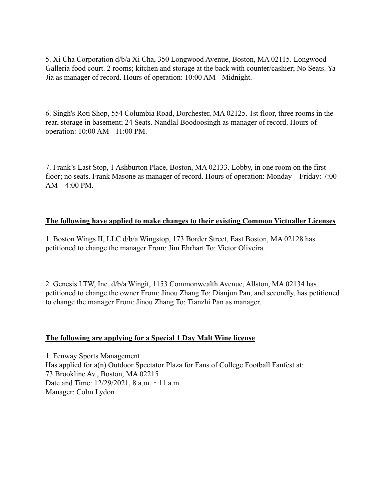5. Xi Cha Corporation d/b/a Xi Cha, 350 Longwood Avenue, Boston, MA 02115. Longwood Galleria food court. 2 rooms; kitchen and storage at the back with counter/cashier; No Seats. Ya Jia as manager of record. Hours of operation: 10:00 AM - Midnight.

6. Singh's Roti Shop, 554 Columbia Road, Dorchester, MA 02125. 1st floor, three rooms in the rear, storage in basement; 24 Seats. Nandlal Boodoosingh as manager of record. Hours of operation: 10:00 AM - 11:00 PM.

7. Frank's Last Stop, 1 Ashburton Place, Boston, MA 02133. Lobby, in one room on the first floor; no seats. Frank Masone as manager of record. Hours of operation: Monday – Friday: 7:00  $AM - 4:00 PM$ .

#### **The following have applied to make changes to their existing Common Victualler Licenses**

1. Boston Wings II, LLC d/b/a Wingstop, 173 Border Street, East Boston, MA 02128 has petitioned to change the manager From: Jim Ehrhart To: Victor Oliveira.

2. Genesis LTW, Inc. d/b/a Wingit, 1153 Commonwealth Avenue, Allston, MA 02134 has petitioned to change the owner From: Jinou Zhang To: Dianjun Pan, and secondly, has petitioned to change the manager From: Jinou Zhang To: Tianzhi Pan as manager.

#### **The following are applying for a Special 1 Day Malt Wine license**

1. Fenway Sports Management Has applied for a(n) Outdoor Spectator Plaza for Fans of College Football Fanfest at: 73 Brookline Av., Boston, MA 02215 Date and Time: 12/29/2021, 8 a.m. - 11 a.m. Manager: Colm Lydon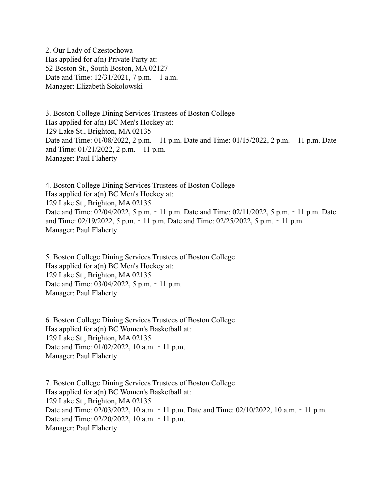2. Our Lady of Czestochowa Has applied for a(n) Private Party at: 52 Boston St., South Boston, MA 02127 Date and Time: 12/31/2021, 7 p.m. - 1 a.m. Manager: Elizabeth Sokolowski

3. Boston College Dining Services Trustees of Boston College Has applied for a(n) BC Men's Hockey at: 129 Lake St., Brighton, MA 02135 Date and Time: 01/08/2022, 2 p.m. - 11 p.m. Date and Time: 01/15/2022, 2 p.m. - 11 p.m. Date and Time: 01/21/2022, 2 p.m. ‐ 11 p.m. Manager: Paul Flaherty

4. Boston College Dining Services Trustees of Boston College Has applied for a(n) BC Men's Hockey at: 129 Lake St., Brighton, MA 02135 Date and Time: 02/04/2022, 5 p.m. – 11 p.m. Date and Time: 02/11/2022, 5 p.m. – 11 p.m. Date and Time: 02/19/2022, 5 p.m. ‐ 11 p.m. Date and Time: 02/25/2022, 5 p.m. ‐ 11 p.m. Manager: Paul Flaherty

5. Boston College Dining Services Trustees of Boston College Has applied for a(n) BC Men's Hockey at: 129 Lake St., Brighton, MA 02135 Date and Time: 03/04/2022, 5 p.m. - 11 p.m. Manager: Paul Flaherty

6. Boston College Dining Services Trustees of Boston College Has applied for a(n) BC Women's Basketball at: 129 Lake St., Brighton, MA 02135 Date and Time: 01/02/2022, 10 a.m. - 11 p.m. Manager: Paul Flaherty

7. Boston College Dining Services Trustees of Boston College Has applied for a(n) BC Women's Basketball at: 129 Lake St., Brighton, MA 02135 Date and Time: 02/03/2022, 10 a.m. - 11 p.m. Date and Time: 02/10/2022, 10 a.m. - 11 p.m. Date and Time: 02/20/2022, 10 a.m. - 11 p.m. Manager: Paul Flaherty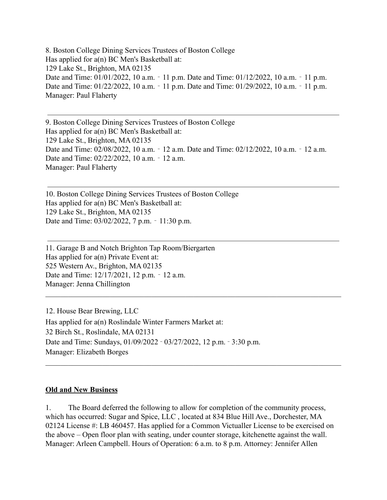8. Boston College Dining Services Trustees of Boston College Has applied for a(n) BC Men's Basketball at: 129 Lake St., Brighton, MA 02135 Date and Time: 01/01/2022, 10 a.m. - 11 p.m. Date and Time: 01/12/2022, 10 a.m. - 11 p.m. Date and Time: 01/22/2022, 10 a.m. - 11 p.m. Date and Time: 01/29/2022, 10 a.m. - 11 p.m. Manager: Paul Flaherty

9. Boston College Dining Services Trustees of Boston College Has applied for a(n) BC Men's Basketball at: 129 Lake St., Brighton, MA 02135 Date and Time: 02/08/2022, 10 a.m. - 12 a.m. Date and Time: 02/12/2022, 10 a.m. - 12 a.m. Date and Time: 02/22/2022, 10 a.m. - 12 a.m. Manager: Paul Flaherty

10. Boston College Dining Services Trustees of Boston College Has applied for a(n) BC Men's Basketball at: 129 Lake St., Brighton, MA 02135 Date and Time: 03/02/2022, 7 p.m. ‐ 11:30 p.m.

11. Garage B and Notch Brighton Tap Room/Biergarten Has applied for a(n) Private Event at: 525 Western Av., Brighton, MA 02135 Date and Time: 12/17/2021, 12 p.m. - 12 a.m. Manager: Jenna Chillington

12. House Bear Brewing, LLC Has applied for a(n) Roslindale Winter Farmers Market at: 32 Birch St., Roslindale, MA 02131 Date and Time: Sundays, 01/09/2022 ‑ 03/27/2022, 12 p.m. ‑ 3:30 p.m. Manager: Elizabeth Borges

#### **Old and New Business**

1. The Board deferred the following to allow for completion of the community process, which has occurred: Sugar and Spice, LLC , located at 834 Blue Hill Ave., Dorchester, MA 02124 License #: LB 460457. Has applied for a Common Victualler License to be exercised on the above – Open floor plan with seating, under counter storage, kitchenette against the wall. Manager: Arleen Campbell. Hours of Operation: 6 a.m. to 8 p.m. Attorney: Jennifer Allen

 $\mathcal{L}_\mathcal{L} = \{ \mathcal{L}_\mathcal{L} = \{ \mathcal{L}_\mathcal{L} = \{ \mathcal{L}_\mathcal{L} = \{ \mathcal{L}_\mathcal{L} = \{ \mathcal{L}_\mathcal{L} = \{ \mathcal{L}_\mathcal{L} = \{ \mathcal{L}_\mathcal{L} = \{ \mathcal{L}_\mathcal{L} = \{ \mathcal{L}_\mathcal{L} = \{ \mathcal{L}_\mathcal{L} = \{ \mathcal{L}_\mathcal{L} = \{ \mathcal{L}_\mathcal{L} = \{ \mathcal{L}_\mathcal{L} = \{ \mathcal{L}_\mathcal{$ 

 $\mathcal{L}_\mathcal{L} = \{ \mathcal{L}_\mathcal{L} = \{ \mathcal{L}_\mathcal{L} = \{ \mathcal{L}_\mathcal{L} = \{ \mathcal{L}_\mathcal{L} = \{ \mathcal{L}_\mathcal{L} = \{ \mathcal{L}_\mathcal{L} = \{ \mathcal{L}_\mathcal{L} = \{ \mathcal{L}_\mathcal{L} = \{ \mathcal{L}_\mathcal{L} = \{ \mathcal{L}_\mathcal{L} = \{ \mathcal{L}_\mathcal{L} = \{ \mathcal{L}_\mathcal{L} = \{ \mathcal{L}_\mathcal{L} = \{ \mathcal{L}_\mathcal{$